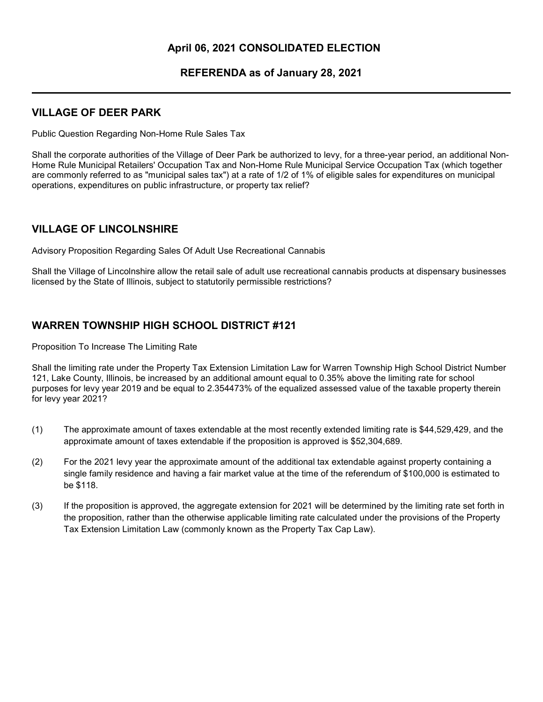## April 06, 2021 CONSOLIDATED ELECTION

### REFERENDA as of January 28, 2021

## VILLAGE OF DEER PARK

Public Question Regarding Non-Home Rule Sales Tax

Shall the corporate authorities of the Village of Deer Park be authorized to levy, for a three-year period, an additional Non-Home Rule Municipal Retailers' Occupation Tax and Non-Home Rule Municipal Service Occupation Tax (which together are commonly referred to as "municipal sales tax") at a rate of 1/2 of 1% of eligible sales for expenditures on municipal operations, expenditures on public infrastructure, or property tax relief?

#### VILLAGE OF LINCOLNSHIRE

Advisory Proposition Regarding Sales Of Adult Use Recreational Cannabis

Shall the Village of Lincolnshire allow the retail sale of adult use recreational cannabis products at dispensary businesses licensed by the State of Illinois, subject to statutorily permissible restrictions?

## WARREN TOWNSHIP HIGH SCHOOL DISTRICT #121

Proposition To Increase The Limiting Rate

Shall the limiting rate under the Property Tax Extension Limitation Law for Warren Township High School District Number 121, Lake County, Illinois, be increased by an additional amount equal to 0.35% above the limiting rate for school purposes for levy year 2019 and be equal to 2.354473% of the equalized assessed value of the taxable property therein for levy year 2021?

- (1) The approximate amount of taxes extendable at the most recently extended limiting rate is \$44,529,429, and the approximate amount of taxes extendable if the proposition is approved is \$52,304,689.
- (2) For the 2021 levy year the approximate amount of the additional tax extendable against property containing a single family residence and having a fair market value at the time of the referendum of \$100,000 is estimated to be \$118.
- (3) If the proposition is approved, the aggregate extension for 2021 will be determined by the limiting rate set forth in the proposition, rather than the otherwise applicable limiting rate calculated under the provisions of the Property Tax Extension Limitation Law (commonly known as the Property Tax Cap Law).